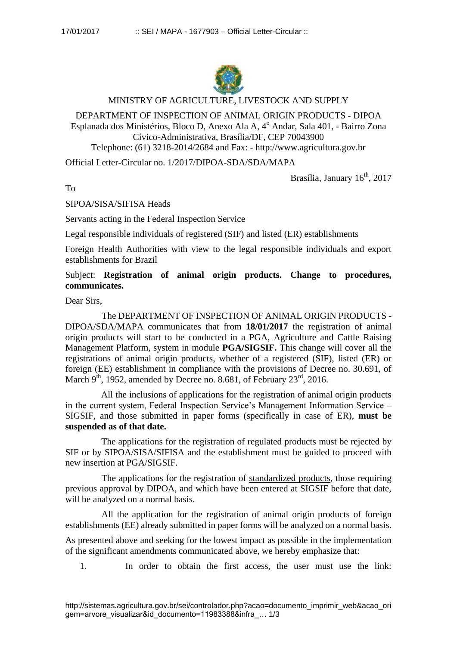

## MINISTRY OF AGRICULTURE, LIVESTOCK AND SUPPLY

## DEPARTMENT OF INSPECTION OF ANIMAL ORIGIN PRODUCTS - DIPOA Esplanada dos Ministérios, Bloco D, Anexo Ala A,  $4^{\circ}$  Andar, Sala 401, - Bairro Zona Cívico-Administrativa, Brasília/DF, CEP 70043900 Telephone: (61) 3218-2014/2684 and Fax: - http://www.agricultura.gov.br

Official Letter-Circular no. 1/2017/DIPOA-SDA/SDA/MAPA

Brasília, January  $16<sup>th</sup>$ , 2017

To

SIPOA/SISA/SIFISA Heads

Servants acting in the Federal Inspection Service

Legal responsible individuals of registered (SIF) and listed (ER) establishments

Foreign Health Authorities with view to the legal responsible individuals and export establishments for Brazil

Subject: **Registration of animal origin products. Change to procedures, communicates.**

Dear Sirs,

The DEPARTMENT OF INSPECTION OF ANIMAL ORIGIN PRODUCTS - DIPOA/SDA/MAPA communicates that from **18/01/2017** the registration of animal origin products will start to be conducted in a PGA, Agriculture and Cattle Raising Management Platform, system in module **PGA/SIGSIF.** This change will cover all the registrations of animal origin products, whether of a registered (SIF), listed (ER) or foreign (EE) establishment in compliance with the provisions of Decree no. 30.691, of March  $9<sup>th</sup>$ , 1952, amended by Decree no. 8.681, of February 23<sup>rd</sup>, 2016.

All the inclusions of applications for the registration of animal origin products in the current system, Federal Inspection Service's Management Information Service – SIGSIF, and those submitted in paper forms (specifically in case of ER), **must be suspended as of that date.**

The applications for the registration of regulated products must be rejected by SIF or by SIPOA/SISA/SIFISA and the establishment must be guided to proceed with new insertion at PGA/SIGSIF.

The applications for the registration of standardized products, those requiring previous approval by DIPOA, and which have been entered at SIGSIF before that date, will be analyzed on a normal basis.

All the application for the registration of animal origin products of foreign establishments (EE) already submitted in paper forms will be analyzed on a normal basis.

As presented above and seeking for the lowest impact as possible in the implementation of the significant amendments communicated above, we hereby emphasize that:

1. In order to obtain the first access, the user must use the link: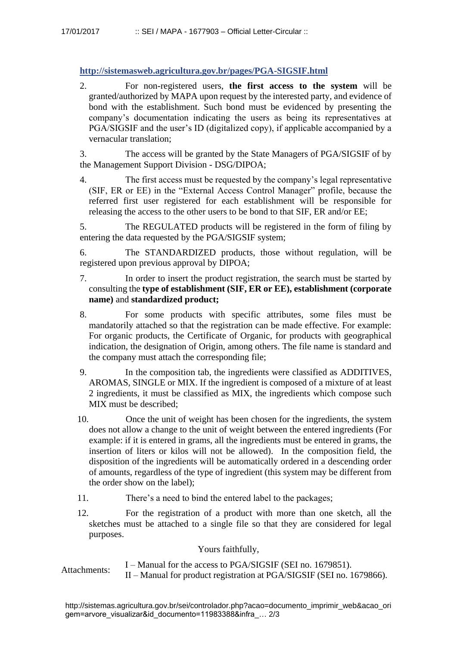**http://sistemasweb.agricultura.gov.br/pages/PGA-SIGSIF.html**

2. For non-registered users, **the first access to the system** will be granted/authorized by MAPA upon request by the interested party, and evidence of bond with the establishment. Such bond must be evidenced by presenting the company's documentation indicating the users as being its representatives at PGA/SIGSIF and the user's ID (digitalized copy), if applicable accompanied by a vernacular translation;

3. The access will be granted by the State Managers of PGA/SIGSIF of by the Management Support Division - DSG/DIPOA;

4. The first access must be requested by the company's legal representative (SIF, ER or EE) in the "External Access Control Manager" profile, because the referred first user registered for each establishment will be responsible for releasing the access to the other users to be bond to that SIF, ER and/or EE;

5. The REGULATED products will be registered in the form of filing by entering the data requested by the PGA/SIGSIF system;

6. The STANDARDIZED products, those without regulation, will be registered upon previous approval by DIPOA;

- 7. In order to insert the product registration, the search must be started by consulting the **type of establishment (SIF, ER or EE), establishment (corporate name)** and **standardized product;**
- 8. For some products with specific attributes, some files must be mandatorily attached so that the registration can be made effective. For example: For organic products, the Certificate of Organic, for products with geographical indication, the designation of Origin, among others. The file name is standard and the company must attach the corresponding file;
- 9. In the composition tab, the ingredients were classified as ADDITIVES, AROMAS, SINGLE or MIX. If the ingredient is composed of a mixture of at least 2 ingredients, it must be classified as MIX, the ingredients which compose such MIX must be described;
- 10. Once the unit of weight has been chosen for the ingredients, the system does not allow a change to the unit of weight between the entered ingredients (For example: if it is entered in grams, all the ingredients must be entered in grams, the insertion of liters or kilos will not be allowed). In the composition field, the disposition of the ingredients will be automatically ordered in a descending order of amounts, regardless of the type of ingredient (this system may be different from the order show on the label);
- 11. There's a need to bind the entered label to the packages;
- 12. For the registration of a product with more than one sketch, all the sketches must be attached to a single file so that they are considered for legal purposes.

Yours faithfully,

Attachments:  $I -$ Manual for the access to PGA/SIGSIF (SEI no. 1679851). II – Manual for product registration at PGA/SIGSIF (SEI no. 1679866).